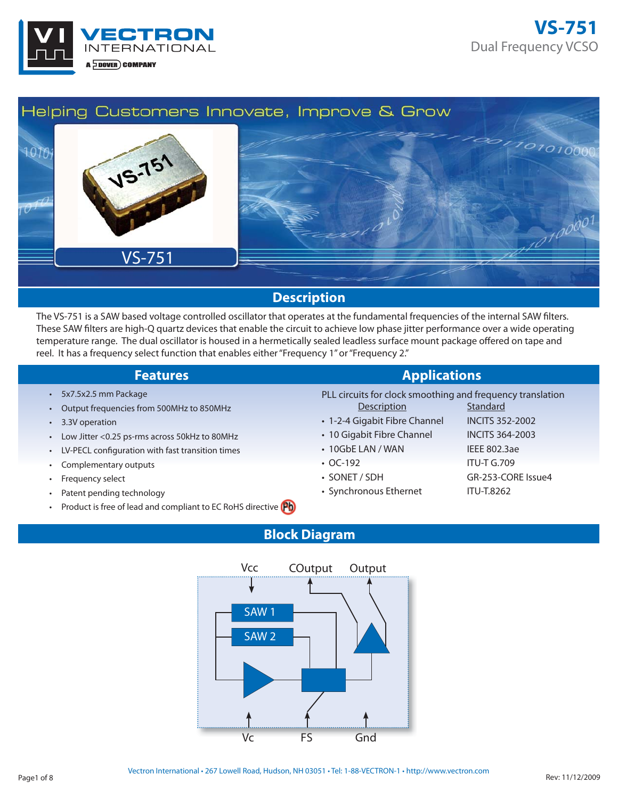



#### **Description**

The VS-751 is a SAW based voltage controlled oscillator that operates at the fundamental frequencies of the internal SAW filters. These SAW filters are high-Q quartz devices that enable the circuit to achieve low phase jitter performance over a wide operating temperature range. The dual oscillator is housed in a hermetically sealed leadless surface mount package offered on tape and reel. It has a frequency select function that enables either "Frequency 1" or "Frequency 2."

- 5x7.5x2.5 mm Package
- Output frequencies from 500MHz to 850MHz
- 3.3V operation
- Low Jitter <0.25 ps-rms across 50kHz to 80MHz
- LV-PECL configuration with fast transition times
- Complementary outputs
- Frequency select
- Patent pending technology
- Product is free of lead and compliant to EC RoHS directive **(Pb)**

**Features Applications** 

- PLL circuits for clock smoothing and frequency translation Description Standard
- 1-2-4 Gigabit Fibre Channel INCITS 352-2002
- 10 Gigabit Fibre Channel INCITS 364-2003
- 10GbE LAN / WAN IEEE 802.3ae
- OC-192 ITU-T G.709
- SONET / SDH GR-253-CORE Issue4
- Synchronous Ethernet ITU-T.8262

### **Block Diagram**

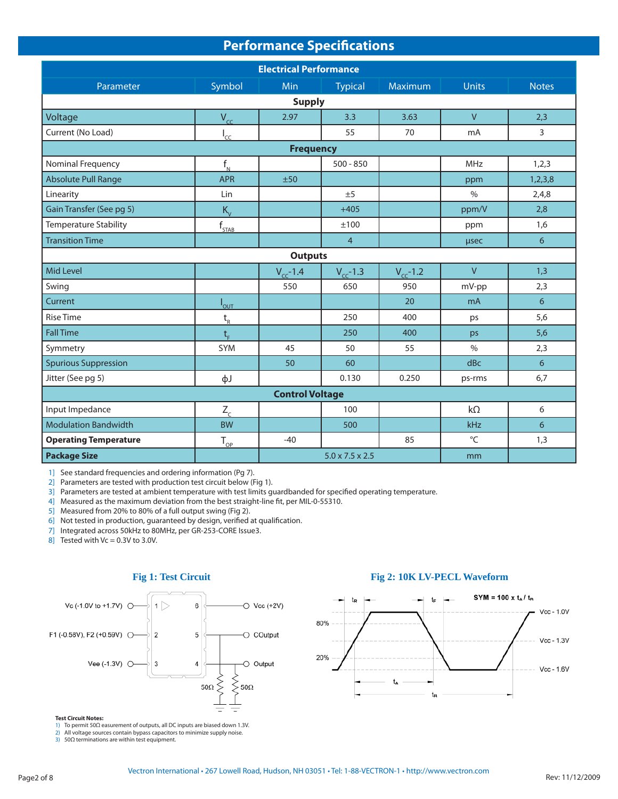| <b>Performance Specifications</b> |                    |                  |                             |                |                |                 |  |
|-----------------------------------|--------------------|------------------|-----------------------------|----------------|----------------|-----------------|--|
| <b>Electrical Performance</b>     |                    |                  |                             |                |                |                 |  |
| Parameter                         | Symbol             | Min              | <b>Typical</b>              | <b>Maximum</b> | <b>Units</b>   | <b>Notes</b>    |  |
| <b>Supply</b>                     |                    |                  |                             |                |                |                 |  |
| Voltage                           | $V_{cc}$           | 2.97             | 3.3                         | 3.63           | $\vee$         | 2,3             |  |
| Current (No Load)                 | $I_{cc}$           |                  | 55                          | 70             | mA             | 3               |  |
|                                   |                    | <b>Frequency</b> |                             |                |                |                 |  |
| Nominal Frequency                 | $f_{N}$            |                  | $500 - 850$                 |                | MHz            | 1,2,3           |  |
| <b>Absolute Pull Range</b>        | <b>APR</b>         | ±50              |                             |                | ppm            | 1,2,3,8         |  |
| Linearity                         | Lin                |                  | ±5                          |                | $\%$           | 2,4,8           |  |
| Gain Transfer (See pg 5)          | $K_v$              |                  | $+405$                      |                | ppm/V          | 2,8             |  |
| <b>Temperature Stability</b>      | $f_{STAB}$         |                  | ±100                        |                | ppm            | 1,6             |  |
| <b>Transition Time</b>            |                    |                  | $\overline{4}$              |                | usec           | 6               |  |
|                                   |                    | <b>Outputs</b>   |                             |                |                |                 |  |
| Mid Level                         |                    | $V_{cc}$ -1.4    | $V_{cc}$ -1.3               | $V_{cc}$ -1.2  | $\overline{V}$ | 1,3             |  |
| Swing                             |                    | 550              | 650                         | 950            | mV-pp          | 2,3             |  |
| Current                           | $I_{\mathsf{OUT}}$ |                  |                             | 20             | mA             | 6               |  |
| <b>Rise Time</b>                  | $t_{R}$            |                  | 250                         | 400            | ps             | 5,6             |  |
| <b>Fall Time</b>                  | $t_{\rm r}$        |                  | 250                         | 400            | ps             | 5,6             |  |
| Symmetry                          | <b>SYM</b>         | 45               | 50                          | 55             | $\%$           | 2,3             |  |
| <b>Spurious Suppression</b>       |                    | 50               | 60                          |                | dBc            | $6\overline{6}$ |  |
| Jitter (See pg 5)                 | фJ                 |                  | 0.130                       | 0.250          | ps-rms         | 6,7             |  |
| <b>Control Voltage</b>            |                    |                  |                             |                |                |                 |  |
| Input Impedance                   | $Z_c$              |                  | 100                         |                | $k\Omega$      | 6               |  |
| <b>Modulation Bandwidth</b>       | <b>BW</b>          |                  | 500                         |                | kHz            | 6               |  |
| <b>Operating Temperature</b>      | $T_{_{OP}}$        | $-40$            |                             | 85             | $^{\circ}$ C   | 1,3             |  |
| <b>Package Size</b>               |                    |                  | $5.0 \times 7.5 \times 2.5$ |                | mm             |                 |  |

1] See standard frequencies and ordering information (Pg 7).

2] Parameters are tested with production test circuit below (Fig 1).

3] Parameters are tested at ambient temperature with test limits guardbanded for specified operating temperature.

4] Measured as the maximum deviation from the best straight-line fit, per MIL-0-55310.

5] Measured from 20% to 80% of a full output swing (Fig 2).

6] Not tested in production, guaranteed by design, verified at qualification.

7] Integrated across 50kHz to 80MHz, per GR-253-CORE Issue3.

8] Tested with  $Vc = 0.3V$  to 3.0V.



**Test Circuit Notes:** 1) To permit 50Ω easurement of outputs, all DC inputs are biased down 1.3V.

2) All voltage sources contain bypass capacitors to minimize supply noise.

3) 50Ω terminations are within test equipment.

#### Fig 1: Test Circuit Fig 2: 10K LV-PECL Waveform

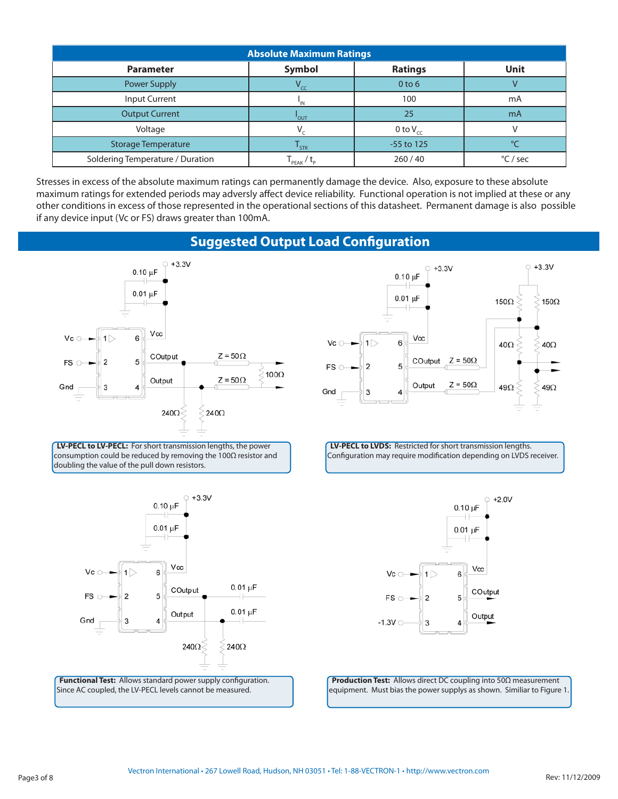| <b>Absolute Maximum Ratings</b>  |                   |                   |          |  |  |  |
|----------------------------------|-------------------|-------------------|----------|--|--|--|
| <b>Parameter</b>                 | Symbol            | <b>Ratings</b>    | Unit     |  |  |  |
| <b>Power Supply</b>              | $V_{cc}$          | 0 <sub>to</sub> 6 |          |  |  |  |
| Input Current                    | 'IN               | 100               | mA       |  |  |  |
| <b>Output Current</b>            | <b>'</b> OUT      | 25                | mA       |  |  |  |
| Voltage                          |                   | 0 to $V_{cc}$     |          |  |  |  |
| <b>Storage Temperature</b>       | STR <sup>'</sup>  | -55 to 125        |          |  |  |  |
| Soldering Temperature / Duration | PEAK <sup>'</sup> | 260/40            | °C / sec |  |  |  |

Stresses in excess of the absolute maximum ratings can permanently damage the device. Also, exposure to these absolute maximum ratings for extended periods may adversly affect device reliability. Functional operation is not implied at these or any other conditions in excess of those represented in the operational sections of this datasheet. Permanent damage is also possible if any device input (Vc or FS) draws greater than 100mA.

### **Suggested Output Load Configuration**



**LV-PECL to LV-PECL:** For short transmission lengths, the power consumption could be reduced by removing the 100Ω resistor and doubling the value of the pull down resistors.



Functional Test: Allows standard power supply configuration. Since AC coupled, the LV-PECL levels cannot be measured.



**LV-PECL to LVDS:** Restricted for short transmission lengths. Configuration may require modification depending on LVDS receiver.



**Production Test:** Allows direct DC coupling into 50Ω measurement equipment. Must bias the power supplys as shown. Similiar to Figure 1.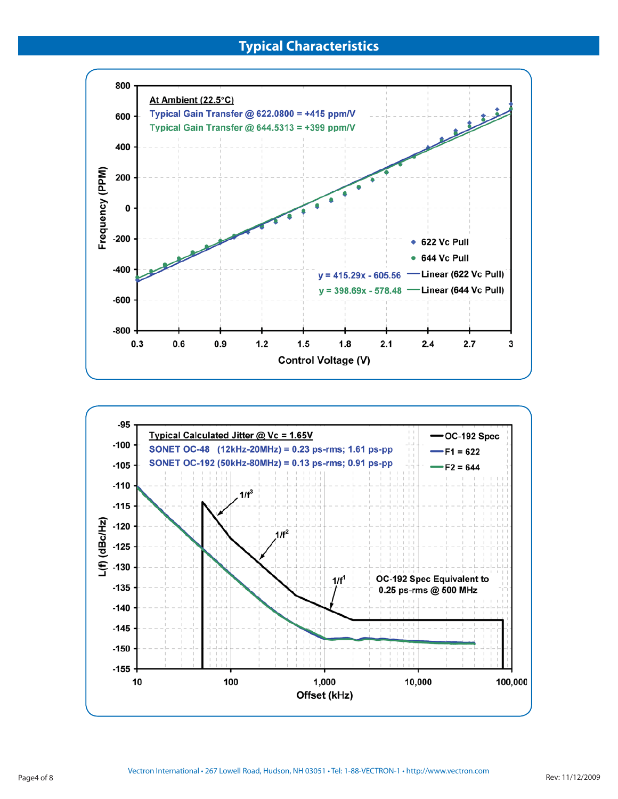

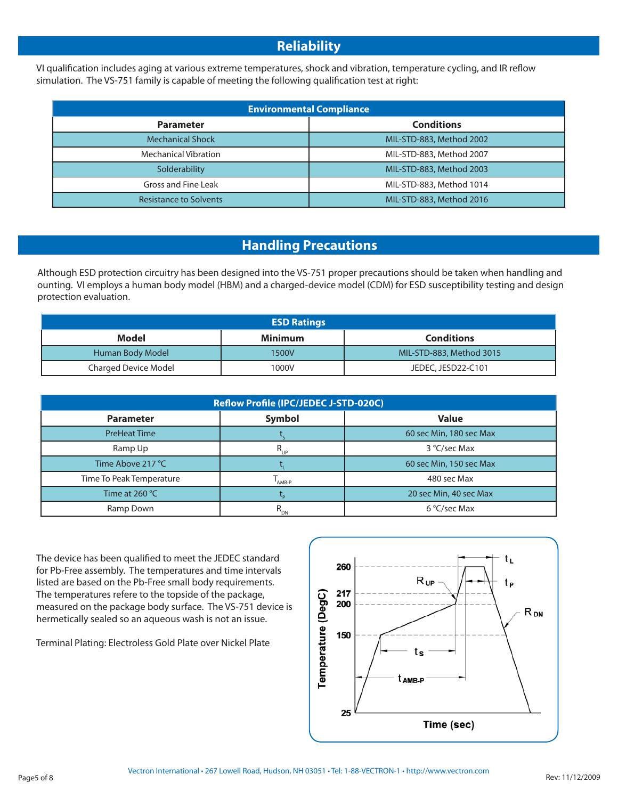## **Reliability**

VI qualification includes aging at various extreme temperatures, shock and vibration, temperature cycling, and IR reflow simulation. The VS-751 family is capable of meeting the following qualification test at right:

| <b>Environmental Compliance</b> |                          |  |  |  |  |
|---------------------------------|--------------------------|--|--|--|--|
| <b>Parameter</b>                | <b>Conditions</b>        |  |  |  |  |
| <b>Mechanical Shock</b>         | MIL-STD-883, Method 2002 |  |  |  |  |
| <b>Mechanical Vibration</b>     | MIL-STD-883, Method 2007 |  |  |  |  |
| Solderability                   | MIL-STD-883, Method 2003 |  |  |  |  |
| Gross and Fine Leak             | MIL-STD-883, Method 1014 |  |  |  |  |
| <b>Resistance to Solvents</b>   | MIL-STD-883, Method 2016 |  |  |  |  |

## **Handling Precautions**

Although ESD protection circuitry has been designed into the VS-751 proper precautions should be taken when handling and ounting. VI employs a human body model (HBM) and a charged-device model (CDM) for ESD susceptibility testing and design protection evaluation.

| <b>ESD Ratings</b>   |         |                          |  |  |  |  |
|----------------------|---------|--------------------------|--|--|--|--|
| Model                | Minimum | <b>Conditions</b>        |  |  |  |  |
| Human Body Model     | 1500V   | MIL-STD-883, Method 3015 |  |  |  |  |
| Charged Device Model | 1000V   | JEDEC, JESD22-C101       |  |  |  |  |

| Reflow Profile (IPC/JEDEC J-STD-020C) |          |                         |  |  |  |  |
|---------------------------------------|----------|-------------------------|--|--|--|--|
| <b>Parameter</b>                      | Symbol   | <b>Value</b>            |  |  |  |  |
| <b>PreHeat Time</b>                   |          | 60 sec Min, 180 sec Max |  |  |  |  |
| Ramp Up                               | $R_{UP}$ | 3 °C/sec Max            |  |  |  |  |
| Time Above 217 °C                     |          | 60 sec Min, 150 sec Max |  |  |  |  |
| Time To Peak Temperature              | AMB-P    | 480 sec Max             |  |  |  |  |
| Time at $260 °C$                      |          | 20 sec Min, 40 sec Max  |  |  |  |  |
| Ramp Down                             |          | 6 °C/sec Max            |  |  |  |  |

The device has been qualified to meet the JEDEC standard for Pb-Free assembly. The temperatures and time intervals listed are based on the Pb-Free small body requirements. The temperatures refere to the topside of the package, measured on the package body surface. The VS-751 device is hermetically sealed so an aqueous wash is not an issue.

Terminal Plating: Electroless Gold Plate over Nickel Plate

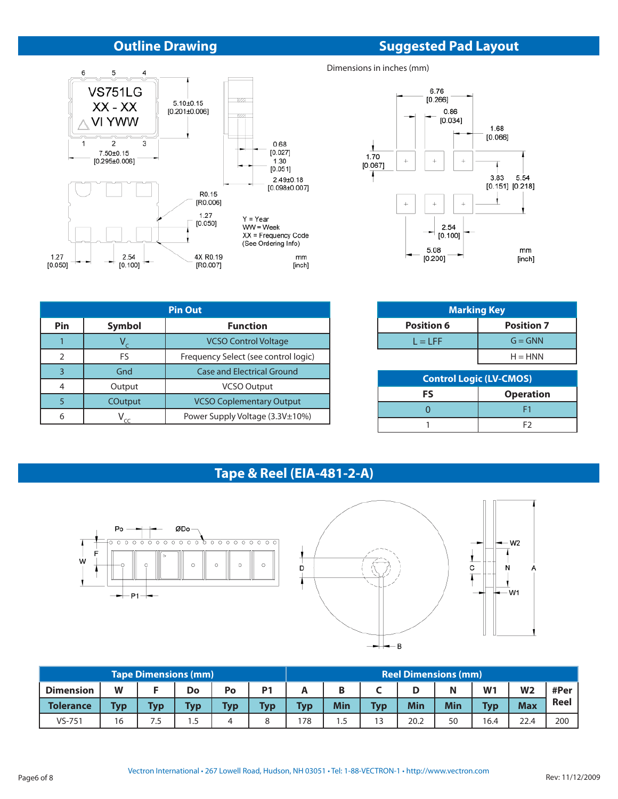## **Outline Drawing**

#### 6  $\overline{5}$  $\overline{4}$ **VS751LG**  $5.10\pm0.15$ [0.201±0.006] w  $XX - XX$ 1773  $\wedge$  VI YWW  $\mathbf 1$  $\sqrt{2}$  $\mathsf 3$ 0.68  $7.50 \pm 0.15$  $[0.027]$  $[0.295 \pm 0.006]$  $1.30$  $[0.051]$  $2.49 \pm 0.18$  $[0.098 \pm 0.007]$ R0.15 [R0.006]  $1.27$  $Y = Year$  $[0.050]$  $WW = Week$ XX = Frequency Code<br>XX = Frequency Code<br>(See Ordering Info) 4X R0.19 2.54 1.27 mm  $[0.050]$  $[0.100]$ [R0.007] [inch]

| <b>Pin Out</b> |                                            |                                   |  |  |  |  |
|----------------|--------------------------------------------|-----------------------------------|--|--|--|--|
| Pin            | <b>Symbol</b>                              | <b>Function</b>                   |  |  |  |  |
|                |                                            | <b>VCSO Control Voltage</b>       |  |  |  |  |
|                | FS<br>Frequency Select (see control logic) |                                   |  |  |  |  |
| 3              | Gnd                                        | <b>Case and Electrical Ground</b> |  |  |  |  |
|                | Output                                     | <b>VCSO Output</b>                |  |  |  |  |
|                | COutput                                    | <b>VCSO Coplementary Output</b>   |  |  |  |  |
| 6              |                                            | Power Supply Voltage (3.3V±10%)   |  |  |  |  |

# **Suggested Pad Layout**

Dimensions in inches (mm)



| <b>Marking Key</b>             |                   |  |  |  |  |
|--------------------------------|-------------------|--|--|--|--|
| <b>Position 6</b>              | <b>Position 7</b> |  |  |  |  |
| $L = LFF$                      | $G = GNN$         |  |  |  |  |
|                                | $H = HNN$         |  |  |  |  |
| <b>Control Logic (LV-CMOS)</b> |                   |  |  |  |  |
| FS                             | <b>Operation</b>  |  |  |  |  |
|                                |                   |  |  |  |  |

1 F2

## **Tape & Reel (EIA-481-2-A)**





|                  |            | <b>Tape Dimensions (mm)</b> |            |            |                |            |     |            |      | <b>Reel Dimensions (mm)</b> |                |                |      |
|------------------|------------|-----------------------------|------------|------------|----------------|------------|-----|------------|------|-----------------------------|----------------|----------------|------|
| <b>Dimension</b> | W          |                             | Do         | Po         | P <sub>1</sub> |            | Β   |            | D    | Ν                           | W <sup>1</sup> | W <sub>2</sub> | #Per |
| <b>Tolerance</b> | <b>Typ</b> | <b>Typ</b>                  | <b>Typ</b> | <b>Typ</b> | Typ            | <b>Typ</b> | Min | <b>Tvp</b> | Min  | <b>Min</b>                  | <b>Tvp</b>     | <b>Max</b>     | Reel |
| $VS - 751$       | 16         | 7.5                         | . 5        | 4          |                | '78        | 1.5 | 13         | 20.2 | 50                          | 16.4           | 22.4           | 200  |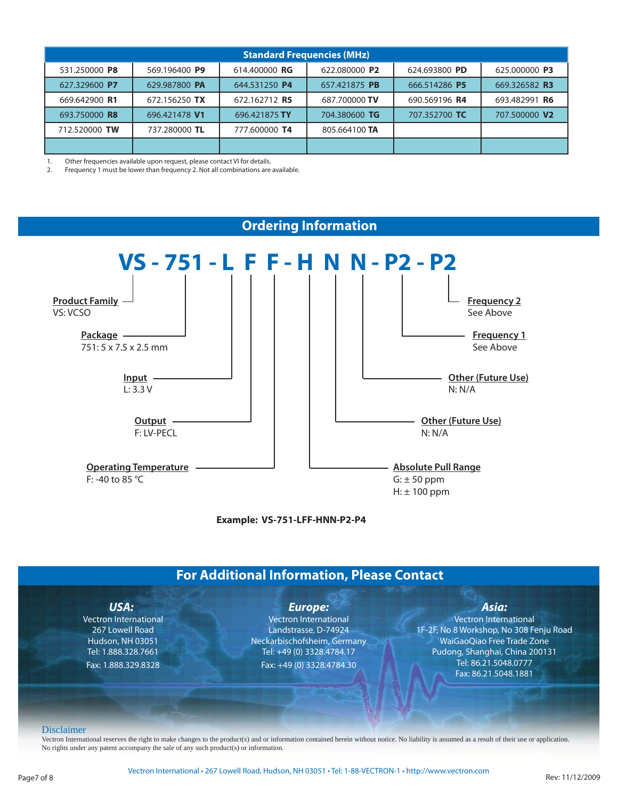| <b>Standard Frequencies (MHz)</b> |               |               |               |               |               |
|-----------------------------------|---------------|---------------|---------------|---------------|---------------|
| 531.250000 P8                     | 569.196400 P9 | 614.400000 RG | 622.080000 P2 | 624.693800 PD | 625.000000 P3 |
| 627.329600 P7                     | 629.987800 PA | 644.531250 P4 | 657.421875 PB | 666.514286 P5 | 669.326582 R3 |
| 669.642900 R1                     | 672.156250 TX | 672.162712 R5 | 687.700000 TV | 690.569196 R4 | 693.482991 R6 |
| 693.750000 R8                     | 696.421478 V1 | 696.421875 TY | 704.380600 TG | 707.352700 TC | 707.500000 V2 |
| 712.520000 TW                     | 737.280000 TL | 777.600000 T4 | 805.664100 TA |               |               |
|                                   |               |               |               |               |               |

1. Other frequencies available upon request, please contact VI for details.

2. Frequency 1 must be lower than frequency 2. Not all combinations are available.



**Example: VS-751-LFF-HNN-P2-P4**

## **For Additional Information, Please Contact**

| USA:                         | <b>Europe:</b>               | Asia:                                        |
|------------------------------|------------------------------|----------------------------------------------|
| <b>Vectron International</b> | <b>Vectron International</b> | <b>Vectron International</b>                 |
| 267 Lowell Road              | Landstrasse, D-74924         | 1F-2F, No 8 Workshop, No 308 Fenju Road      |
| <b>Hudson, NH 03051</b>      | Neckarbischofsheim, Germany  | WaiGaoQiao Free Trade Zone                   |
| Tel: 1.888.328.7661          | Tel: +49 (0) 3328.4784.17    | Pudong, Shanghai, China 200131               |
| Fax: 1.888.329.8328          | Fax: +49 (0) 3328.4784.30    | Tel: 86.21.5048.0777<br>Fax: 86.21.5048.1881 |
|                              |                              |                                              |
|                              |                              |                                              |

No rights under any patent accompany the sale of any such product(s) or information.